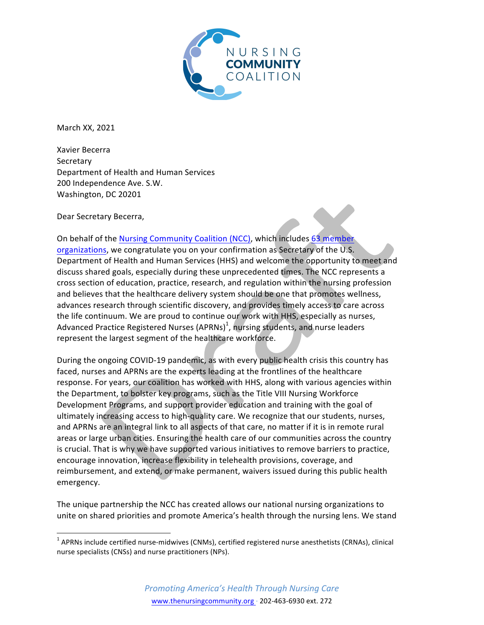

March XX, 2021

Xavier Becerra Secretary Department of Health and Human Services 200 Independence Ave. S.W. Washington, DC 20201

Dear Secretary Becerra,

<u> 1989 - Johann Stein, markin film yn y breninn y breninn y breninn y breninn y breninn y breninn y breninn y b</u>

On behalf of the Nursing Community Coalition (NCC), which includes 63 member organizations, we congratulate you on your confirmation as Secretary of the U.S. Department of Health and Human Services (HHS) and welcome the opportunity to meet and discuss shared goals, especially during these unprecedented times. The NCC represents a cross section of education, practice, research, and regulation within the nursing profession and believes that the healthcare delivery system should be one that promotes wellness, advances research through scientific discovery, and provides timely access to care across the life continuum. We are proud to continue our work with HHS, especially as nurses, Advanced Practice Registered Nurses (APRNs)<sup>1</sup>, nursing students, and nurse leaders represent the largest segment of the healthcare workforce.

During the ongoing COVID-19 pandemic, as with every public health crisis this country has faced, nurses and APRNs are the experts leading at the frontlines of the healthcare response. For years, our coalition has worked with HHS, along with various agencies within the Department, to bolster key programs, such as the Title VIII Nursing Workforce Development Programs, and support provider education and training with the goal of ultimately increasing access to high-quality care. We recognize that our students, nurses, and APRNs are an integral link to all aspects of that care, no matter if it is in remote rural areas or large urban cities. Ensuring the health care of our communities across the country is crucial. That is why we have supported various initiatives to remove barriers to practice, encourage innovation, increase flexibility in telehealth provisions, coverage, and reimbursement, and extend, or make permanent, waivers issued during this public health emergency. 

The unique partnership the NCC has created allows our national nursing organizations to unite on shared priorities and promote America's health through the nursing lens. We stand

 $1$  APRNs include certified nurse-midwives (CNMs), certified registered nurse anesthetists (CRNAs), clinical nurse specialists (CNSs) and nurse practitioners (NPs).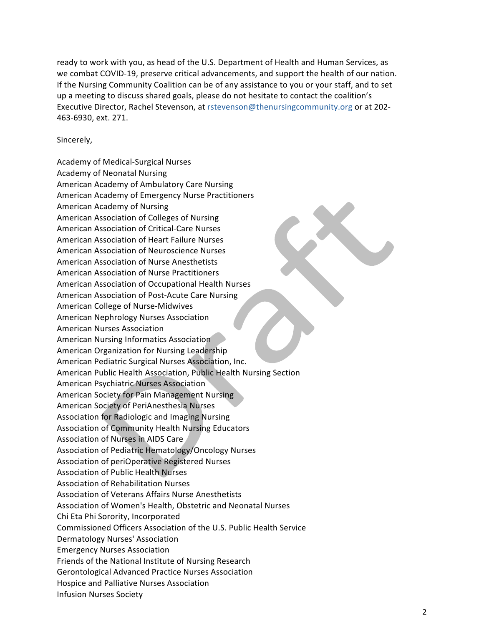ready to work with you, as head of the U.S. Department of Health and Human Services, as we combat COVID-19, preserve critical advancements, and support the health of our nation. If the Nursing Community Coalition can be of any assistance to you or your staff, and to set up a meeting to discuss shared goals, please do not hesitate to contact the coalition's Executive Director, Rachel Stevenson, at rstevenson@thenursingcommunity.org or at 202-463-6930, ext. 271.

## Sincerely,

Academy of Medical-Surgical Nurses Academy of Neonatal Nursing American Academy of Ambulatory Care Nursing American Academy of Emergency Nurse Practitioners American Academy of Nursing American Association of Colleges of Nursing American Association of Critical-Care Nurses American Association of Heart Failure Nurses American Association of Neuroscience Nurses American Association of Nurse Anesthetists American Association of Nurse Practitioners American Association of Occupational Health Nurses American Association of Post-Acute Care Nursing American College of Nurse-Midwives American Nephrology Nurses Association American Nurses Association American Nursing Informatics Association American Organization for Nursing Leadership American Pediatric Surgical Nurses Association, Inc. American Public Health Association, Public Health Nursing Section American Psychiatric Nurses Association American Society for Pain Management Nursing American Society of PeriAnesthesia Nurses Association for Radiologic and Imaging Nursing Association of Community Health Nursing Educators Association of Nurses in AIDS Care Association of Pediatric Hematology/Oncology Nurses Association of periOperative Registered Nurses Association of Public Health Nurses Association of Rehabilitation Nurses Association of Veterans Affairs Nurse Anesthetists Association of Women's Health, Obstetric and Neonatal Nurses Chi Eta Phi Sorority, Incorporated Commissioned Officers Association of the U.S. Public Health Service Dermatology Nurses' Association Emergency Nurses Association Friends of the National Institute of Nursing Research Gerontological Advanced Practice Nurses Association Hospice and Palliative Nurses Association Infusion Nurses Society